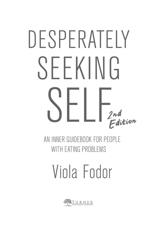# DESPERATELY SEEKING  $\Gamma_{z_{nd}}$ Γ.

AN INNER GUIDEBOOK FOR PEOPLE WITH FATING PROBLEMS

## Viola Fodor

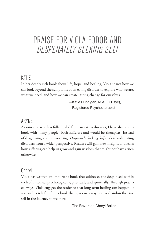### PRAISE FOR VIOLA FODOR AND DESPERATELY SEEKING SELF

#### KATIE

In her deeply rich book about life, hope, and healing, Viola shares how we can look beyond the symptoms of an eating disorder to explore who we are, what we need, and how we can create lasting change for ourselves.

> —Katie Dunnigan, M.A. (C Psyc), Registered Psychotherapist

#### ARYNE

As someone who has fully healed from an eating disorder, I have shared this book with many people, both sufferers and would-be therapists. Instead of diagnosing and categorizing, *Desperately Seeking Self* understands eating disorders from a wider perspective. Readers will gain new insights and learn how suffering can help us grow and gain wisdom that might not have arisen otherwise.

#### Cheryl

Viola has written an important book that addresses the deep need within each of us to heal psychologically, physically and spiritually. Through practical ways, Viola engages the reader so that long term healing can happen. It was such a relief to find a book that gives us a way not to abandon the true self in the journey to wellness.

—The Reverend Cheryl Baker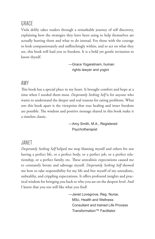#### GRACE

Viola deftly takes readers through a remarkable journey of self discovery, explaining how the strategies they have been using to help themselves are actually hurting them and what to do instead. For those with the courage to look compassionately and unflinchingly within, and to act on what they see, this book will lead you to freedom. It is a bold yet gentle invitation to know thyself.

> —Grace Yogaretnam, human rights lawyer and yogini

#### AMY

This book has a special place in my heart. It brought comfort and hope at a time when I needed them most. *Desperately Seeking Self* is for anyone who wants to understand the deeper and real reasons for eating problems. What sets this book apart is the viewpoint that true healing and inner freedom are possible. The wisdom and positive message shared in this book make it a timeless classic.

> —Amy Smith, M.A., Registered Psychotherapist

#### JANET

*Desperately Seeking Self* helped me stop blaming myself and others for not having a perfect life, or a perfect body, or a perfect job, or a perfect relationship, or a perfect family, etc. These unrealistic expectations caused me to constantly berate and sabotage myself. *Desperately Seeking Self* showed me how to take responsibility for my life and free myself of my unrealistic, unhealthy, and crippling expectations. It offers profound insights and practical wisdom for bringing you back to who you are on the deepest level. And I know that you too will like what you find!

> —Janet Lovegrove, Reg. Nurse, MSc, Health and Wellness Consultant and trained Life Process Transformation™ Facilitator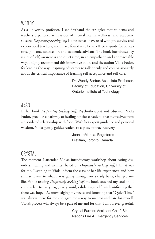#### **WENDY**

As a university professor, I see firsthand the struggles that students and teachers experience with issues of mental health, wellness, and academic success. *Desperately Seeking Self* is a resource I have used with pre-service and experienced teachers, and I have found it to be an effective guide for educators, guidance counsellors and academic advisors. The book introduces key issues of self, awareness and quiet time, in an empathetic and approachable way. I highly recommend this innovative book, and the author Viola Fodor, for leading the way; inspiring educators to talk openly and compassionately about the critical importance of learning self-acceptance and self-care.

> —Dr. Wendy Barber, Associate Professor, Faculty of Education, University of Ontario Institute of Technology

#### JEAN

In her book *Desperately Seeking Self*, Psychotherapist and educator, Viola Fodor, provides a pathway to healing for those ready to free themselves from a disordered relationship with food. With her expert guidance and personal wisdom, Viola gently guides readers to a place of true recovery.

> —Jean LaMantia, Registered Dietitian, Toronto, Canada

#### **CRYSTAL**

The moment I attended Viola's introductory workshop about eating disorders, healing and wellness based on *Desperately Seeking Self*, I felt it was for me. Listening to Viola inform the class of her life experiences and how similar it was to what I was going through on a daily basis, changed my life. While reading *Desperately Seeking Self*, the book touched my soul and I could relate to every page, every word, validating my life and confirming that there was hope. Acknowledging my needs and knowing that "Quiet Time" was always there for me and gave me a way to mentor and care for myself. Viola's process will always be a part of me and for this, I am forever grateful.

> —Crystal Farmer. Assistant Chief, Six Nations Fire & Emergency Services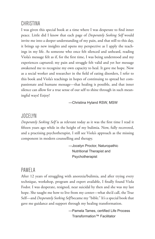#### **CHRISTINA**

I was given this special book at a time where I was desperate to find inner peace. Little did I know that each page of *Desperately Seeking Self* would invite me into a deeper understanding of my pain, and that still to this day, it brings up new insights and opens my perspective as I apply the teachings in my life. As someone who once felt silenced and unheard, reading Viola's message felt as if, for the first time, I was being understood and my experiences captured; my pain and struggle felt valid and yet her message awakened me to recognize my own capacity to heal. It gave me hope. Now as a social worker and researcher in the field of eating disorders, I refer to this book and Viola's teachings in hopes of continuing to spread her compassionate and humane message—that healing is possible, and that inner silence can allow for a true sense of our self to shine through in such meaningful ways! Enjoy!

—Christina Hyland RSW, MSW

#### JOCELYN

*Desperately Seeking Self* is as relevant today as it was the first time I read it fifteen years ago while in the height of my bulimia. Now, fully recovered, and a practising psychotherapist, I still see Viola's approach as the missing component in modern counselling and therapy.

> —Jocelyn Proctor, Naturopathic Nutritional Therapist and Psychotherapist

#### PAMELA

After 12 years of struggling with anorexia/bulimia, and after trying every technique, workshop, program and expert available, I finally found Viola Fodor. I was desperate, resigned, near suicidal by then and she was my last hope. She taught me how to live from my center—what she'd call, the True Self—and *Desperately Seeking Self* became my "bible." It's a special book that gave me guidance and support through my healing transformation.

> -Pamela Tames, certified Life Process Transformation™ Facilitator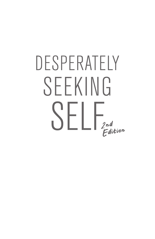# DESPERATELY SEEKING  $\sum_{i}$   $\sum_{i}$   $\sum_{i}$   $\sum_{i}$   $\sum_{i}$   $\sum_{i}$   $\sum_{i}$   $\sum_{i}$   $\sum_{i}$   $\sum_{i}$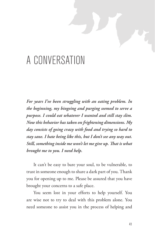### A CONVERSATION

*For years I've been struggling with an eating problem. In the beginning, my bingeing and purging seemed to serve a purpose. I could eat whatever I wanted and still stay slim. Now this behavior has taken on frightening dimensions. My day consists of going crazy with food and trying so hard to stay sane. I hate being like this, but I don't see any way out. Still, something inside me won't let me give up. That is what brought me to you. I need help.*

It can't be easy to bare your soul, to be vulnerable, to trust in someone enough to share a dark part of you. Thank you for opening up to me. Please be assured that you have brought your concerns to a safe place.

You seem lost in your efforts to help yourself. You are wise not to try to deal with this problem alone. You need someone to assist you in the process of helping and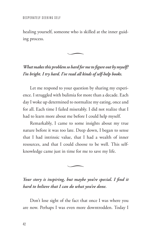healing yourself, someone who is skilled at the inner guiding process.

*What makes this problem so hard for me to figure out by myself? I'm bright. I try hard. I've read all kinds of self-help books.*

 $\overline{\phantom{0}}$ 

Let me respond to your question by sharing my experience. I struggled with bulimia for more than a decade. Each day I woke up determined to normalize my eating, once and for all. Each time I failed miserably. I did not realize that I had to learn more about me before I could help myself.

Remarkably, I came to some insights about my true nature before it was too late. Deep down, I began to sense that I had intrinsic value, that I had a wealth of inner resources, and that I could choose to be well. This selfknowledge came just in time for me to save my life.

*Your story is inspiring, but maybe you're special. I find it hard to believe that I can do what you've done.*

 $\overline{\phantom{0}}$ 

Don't lose sight of the fact that once I was where you are now. Perhaps I was even more downtrodden. Today I